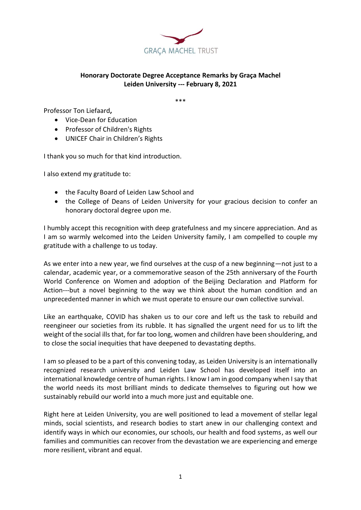

## **Honorary Doctorate Degree Acceptance Remarks by Graça Machel Leiden University --- February 8, 2021**

\*\*\*

Professor Ton Liefaard**,** 

- Vice-Dean for Education
- Professor of Children's Rights
- UNICEF Chair in Children's Rights

I thank you so much for that kind introduction.

I also extend my gratitude to:

- the Faculty Board of Leiden Law School and
- the College of Deans of Leiden University for your gracious decision to confer an honorary doctoral degree upon me.

I humbly accept this recognition with deep gratefulness and my sincere appreciation. And as I am so warmly welcomed into the Leiden University family, I am compelled to couple my gratitude with a challenge to us today.

As we enter into a new year, we find ourselves at the cusp of a new beginning—not just to a calendar, academic year, or a commemorative season of the 25th anniversary of the [Fourth](https://www.un.org/womenwatch/daw/beijing/fwcwn.html) World [Conference](https://www.un.org/womenwatch/daw/beijing/fwcwn.html) on Women and adoption of the Beijing [Declaration](https://www.unwomen.org/en/digital-library/publications/2015/01/beijing-declaration) and Platform for [Action-](https://www.unwomen.org/en/digital-library/publications/2015/01/beijing-declaration)--but a novel beginning to the way we think about the human condition and an unprecedented manner in which we must operate to ensure our own collective survival.

Like an earthquake, COVID has shaken us to our core and left us the task to rebuild and reengineer our societies from its rubble. It has signalled the urgent need for us to lift the weight of the social ills that, for far too long, women and children have been shouldering, and to close the social inequities that have deepened to devastating depths.

I am so pleased to be a part of this convening today, as Leiden University is an internationally recognized research university and Leiden Law School has developed itself into an international knowledge centre of human rights. I know I am in good company when I say that the world needs its most brilliant minds to dedicate themselves to figuring out how we sustainably rebuild our world into a much more just and equitable one.

Right here at Leiden University, you are well positioned to lead a movement of stellar legal minds, social scientists, and research bodies to start anew in our challenging context and identify ways in which our economies, our schools, our health and food systems, as well our families and communities can recover from the devastation we are experiencing and emerge more resilient, vibrant and equal.